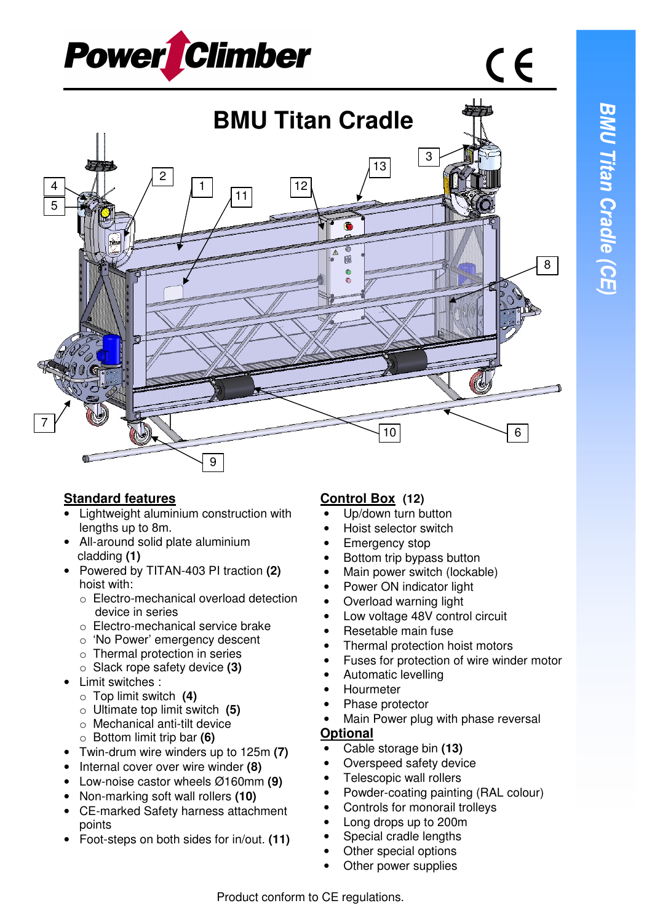$\epsilon$ 





## **Standard features**

- Lightweight aluminium construction with lengths up to 8m.
- All-around solid plate aluminium cladding **(1)**
- Powered by TITAN-403 PI traction **(2)**  hoist with:
	- o Electro-mechanical overload detection device in series
	- o Electro-mechanical service brake
	- o 'No Power' emergency descent
	- o Thermal protection in series
	- o Slack rope safety device **(3)**
- Limit switches :
	- o Top limit switch **(4)**
	- o Ultimate top limit switch **(5)**
	- o Mechanical anti-tilt device
	- o Bottom limit trip bar **(6)**
- Twin-drum wire winders up to 125m **(7)**
- Internal cover over wire winder **(8)**
- Low-noise castor wheels Ø160mm **(9)**
- Non-marking soft wall rollers **(10)**
- CE-marked Safety harness attachment points
- Foot-steps on both sides for in/out. **(11)**

## **Control Box (12)**

- Up/down turn button
- Hoist selector switch
- Emergency stop
- Bottom trip bypass button
- Main power switch (lockable)
- Power ON indicator light
- Overload warning light
- Low voltage 48V control circuit
- Resetable main fuse
- Thermal protection hoist motors
- Fuses for protection of wire winder motor
- Automatic levelling
- Hourmeter
- Phase protector
- Main Power plug with phase reversal

## **Optional**

- Cable storage bin **(13)**
- Overspeed safety device
- Telescopic wall rollers
- Powder-coating painting (RAL colour)
- Controls for monorail trolleys
	- Long drops up to 200m
- Special cradle lengths
- Other special options
- Other power supplies